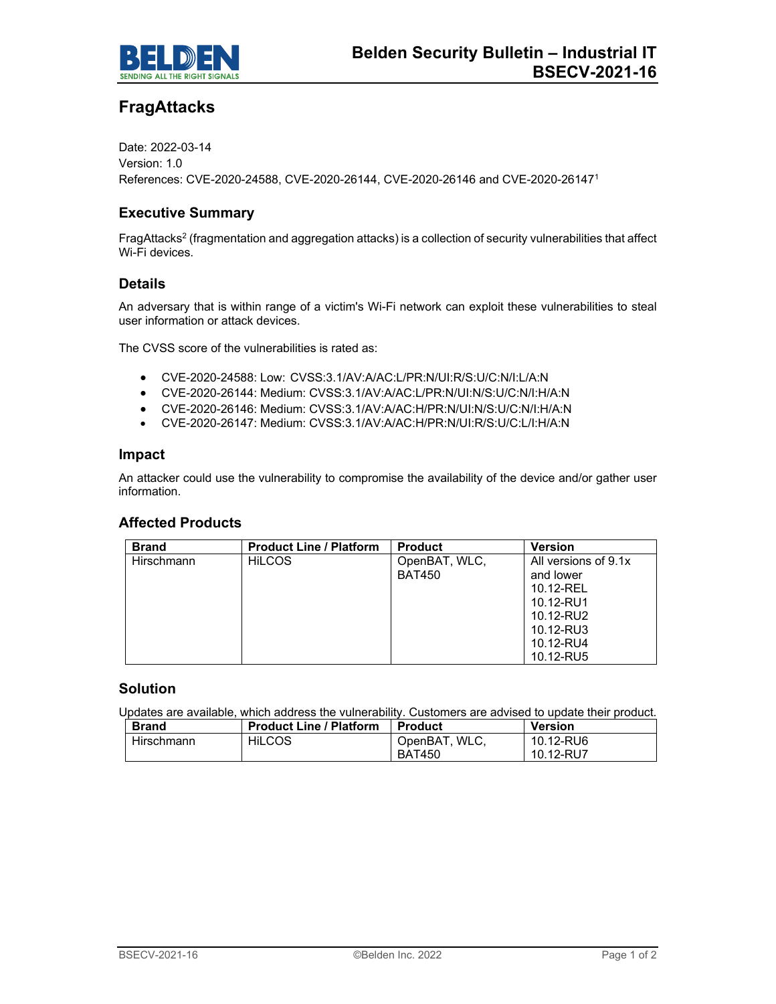

# **FragAttacks**

Date: 2022-03-14 Version: 1.0 References: CVE-2020-24588, CVE-2020-26144, CVE-2020-26146 and CVE-2020-261471

# **Executive Summary**

FragAttacks<sup>2</sup> (fragmentation and aggregation attacks) is a collection of security vulnerabilities that affect Wi-Fi devices.

## **Details**

An adversary that is within range of a victim's Wi-Fi network can exploit these vulnerabilities to steal user information or attack devices.

The CVSS score of the vulnerabilities is rated as:

- CVE-2020-24588: Low: CVSS:3.1/AV:A/AC:L/PR:N/UI:R/S:U/C:N/I:L/A:N
- CVE-2020-26144: Medium: CVSS:3.1/AV:A/AC:L/PR:N/UI:N/S:U/C:N/I:H/A:N
- CVE-2020-26146: Medium: CVSS:3.1/AV:A/AC:H/PR:N/UI:N/S:U/C:N/I:H/A:N
- CVE-2020-26147: Medium: CVSS:3.1/AV:A/AC:H/PR:N/UI:R/S:U/C:L/I:H/A:N

#### **Impact**

An attacker could use the vulnerability to compromise the availability of the device and/or gather user information.

## **Affected Products**

| <b>Brand</b> | <b>Product Line / Platform</b> | <b>Product</b> | <b>Version</b>       |
|--------------|--------------------------------|----------------|----------------------|
| Hirschmann   | <b>HILCOS</b>                  | OpenBAT, WLC,  | All versions of 9.1x |
|              |                                | <b>BAT450</b>  | and lower            |
|              |                                |                | 10.12-REL            |
|              |                                |                | 10.12-RU1            |
|              |                                |                | 10.12-RU2            |
|              |                                |                | 10.12-RU3            |
|              |                                |                | 10.12-RU4            |
|              |                                |                | 10.12-RU5            |

#### **Solution**

Updates are available, which address the vulnerability. Customers are advised to update their product.

| <b>Brand</b> | <b>Product Line / Platform</b> | <b>Product</b> | <b>Version</b> |
|--------------|--------------------------------|----------------|----------------|
| Hirschmann   | <b>HILCOS</b>                  | OpenBAT, WLC.  | 10.12-RU6      |
|              |                                | <b>BAT450</b>  | 10.12-RU7      |